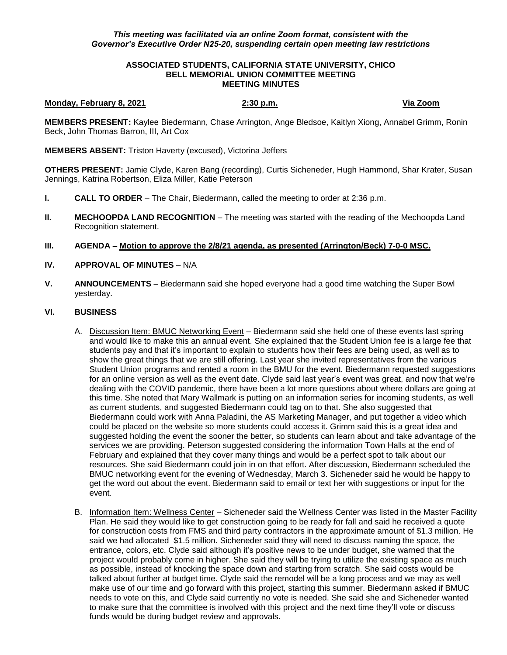## *This meeting was facilitated via an online Zoom format, consistent with the Governor's Executive Order N25-20, suspending certain open meeting law restrictions*

## **ASSOCIATED STUDENTS, CALIFORNIA STATE UNIVERSITY, CHICO BELL MEMORIAL UNION COMMITTEE MEETING MEETING MINUTES**

# **Monday, February 8, 2021 2:30 p.m. Via Zoom**

**MEMBERS PRESENT:** Kaylee Biedermann, Chase Arrington, Ange Bledsoe, Kaitlyn Xiong, Annabel Grimm, Ronin Beck, John Thomas Barron, III, Art Cox

**MEMBERS ABSENT:** Triston Haverty (excused), Victorina Jeffers

**OTHERS PRESENT:** Jamie Clyde, Karen Bang (recording), Curtis Sicheneder, Hugh Hammond, Shar Krater, Susan Jennings, Katrina Robertson, Eliza Miller, Katie Peterson

- **I. CALL TO ORDER**  The Chair, Biedermann, called the meeting to order at 2:36 p.m.
- **II. MECHOOPDA LAND RECOGNITION** The meeting was started with the reading of the Mechoopda Land Recognition statement.
- **III. AGENDA – Motion to approve the 2/8/21 agenda, as presented (Arrington/Beck) 7-0-0 MSC.**
- **IV. APPROVAL OF MINUTES** N/A
- **V. ANNOUNCEMENTS** Biedermann said she hoped everyone had a good time watching the Super Bowl yesterday.

### **VI. BUSINESS**

- A. Discussion Item: BMUC Networking Event Biedermann said she held one of these events last spring and would like to make this an annual event. She explained that the Student Union fee is a large fee that students pay and that it's important to explain to students how their fees are being used, as well as to show the great things that we are still offering. Last year she invited representatives from the various Student Union programs and rented a room in the BMU for the event. Biedermann requested suggestions for an online version as well as the event date. Clyde said last year's event was great, and now that we're dealing with the COVID pandemic, there have been a lot more questions about where dollars are going at this time. She noted that Mary Wallmark is putting on an information series for incoming students, as well as current students, and suggested Biedermann could tag on to that. She also suggested that Biedermann could work with Anna Paladini, the AS Marketing Manager, and put together a video which could be placed on the website so more students could access it. Grimm said this is a great idea and suggested holding the event the sooner the better, so students can learn about and take advantage of the services we are providing. Peterson suggested considering the information Town Halls at the end of February and explained that they cover many things and would be a perfect spot to talk about our resources. She said Biedermann could join in on that effort. After discussion, Biedermann scheduled the BMUC networking event for the evening of Wednesday, March 3. Sicheneder said he would be happy to get the word out about the event. Biedermann said to email or text her with suggestions or input for the event.
- B. Information Item: Wellness Center Sicheneder said the Wellness Center was listed in the Master Facility Plan. He said they would like to get construction going to be ready for fall and said he received a quote for construction costs from FMS and third party contractors in the approximate amount of \$1.3 million. He said we had allocated \$1.5 million. Sicheneder said they will need to discuss naming the space, the entrance, colors, etc. Clyde said although it's positive news to be under budget, she warned that the project would probably come in higher. She said they will be trying to utilize the existing space as much as possible, instead of knocking the space down and starting from scratch. She said costs would be talked about further at budget time. Clyde said the remodel will be a long process and we may as well make use of our time and go forward with this project, starting this summer. Biedermann asked if BMUC needs to vote on this, and Clyde said currently no vote is needed. She said she and Sicheneder wanted to make sure that the committee is involved with this project and the next time they'll vote or discuss funds would be during budget review and approvals.